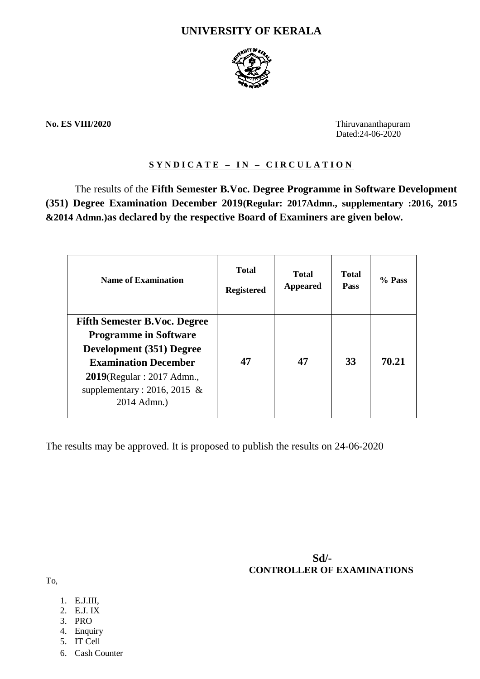# **UNIVERSITY OF KERALA**



**No. ES VIII/2020** Thiruvananthapuram Dated:24-06-2020

### **S Y N D I C A T E – I N – C I R C U L A T I O N**

The results of the **Fifth Semester B.Voc. Degree Programme in Software Development (351) Degree Examination December 2019(Regular: 2017Admn., supplementary :2016, 2015 &2014 Admn.)as declared by the respective Board of Examiners are given below.**

| <b>Name of Examination</b>                                                                                                                                                                                    | <b>Total</b><br><b>Registered</b> | <b>Total</b><br><b>Appeared</b> | <b>Total</b><br><b>Pass</b> | % Pass |
|---------------------------------------------------------------------------------------------------------------------------------------------------------------------------------------------------------------|-----------------------------------|---------------------------------|-----------------------------|--------|
| <b>Fifth Semester B.Voc. Degree</b><br><b>Programme in Software</b><br>Development (351) Degree<br><b>Examination December</b><br>$2019$ (Regular : 2017 Admn.,<br>supplementary: 2016, 2015 &<br>2014 Admn.) | 47                                | 47                              | 33                          | 70.21  |

The results may be approved. It is proposed to publish the results on 24-06-2020

 **Sd/- CONTROLLER OF EXAMINATIONS**

To,

- 1. E.J.III,
- 2. E.J. IX
- 3. PRO
- 4. Enquiry
- 5. IT Cell
- 6. Cash Counter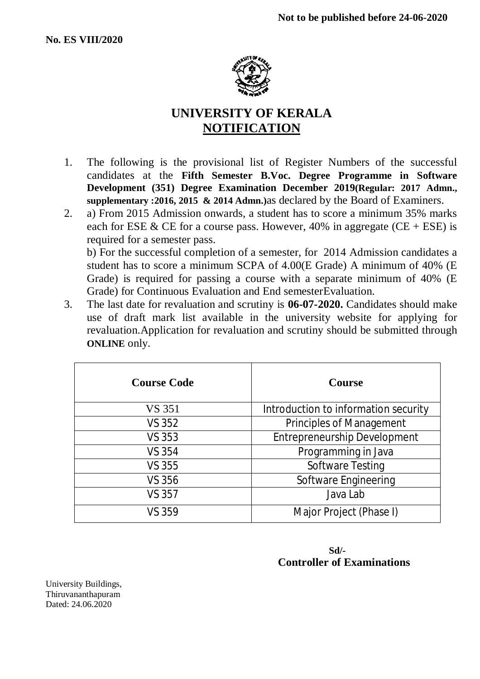

# **UNIVERSITY OF KERALA NOTIFICATION**

- 1. The following is the provisional list of Register Numbers of the successful candidates at the **Fifth Semester B.Voc. Degree Programme in Software Development (351) Degree Examination December 2019(Regular: 2017 Admn., supplementary :2016, 2015 & 2014 Admn.)**as declared by the Board of Examiners.
- 2. a) From 2015 Admission onwards, a student has to score a minimum 35% marks each for ESE & CE for a course pass. However, 40% in aggregate (CE + ESE) is required for a semester pass. b) For the successful completion of a semester, for 2014 Admission candidates a student has to score a minimum SCPA of 4.00(E Grade) A minimum of 40% (E

Grade) is required for passing a course with a separate minimum of 40% (E Grade) for Continuous Evaluation and End semesterEvaluation.

3. The last date for revaluation and scrutiny is **06-07-2020.** Candidates should make use of draft mark list available in the university website for applying for revaluation.Application for revaluation and scrutiny should be submitted through **ONLINE** only.

| <b>Course Code</b> | <b>Course</b>                        |  |  |
|--------------------|--------------------------------------|--|--|
| VS 351             | Introduction to information security |  |  |
| VS 352             | <b>Principles of Management</b>      |  |  |
| VS 353             | <b>Entrepreneurship Development</b>  |  |  |
| <b>VS 354</b>      | Programming in Java                  |  |  |
| VS 355             | <b>Software Testing</b>              |  |  |
| <b>VS 356</b>      | Software Engineering                 |  |  |
| <b>VS 357</b>      | Java Lab                             |  |  |
| VS 359             | Major Project (Phase I)              |  |  |

# **Sd/- Controller of Examinations**

University Buildings, Thiruvananthapuram Dated: 24.06.2020